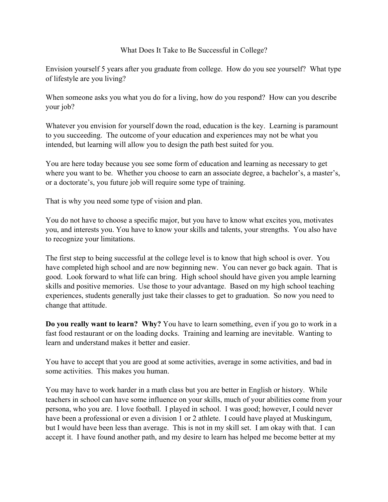## What Does It Take to Be Successful in College?

Envision yourself 5 years after you graduate from college. How do you see yourself? What type of lifestyle are you living?

When someone asks you what you do for a living, how do you respond? How can you describe your job?

Whatever you envision for yourself down the road, education is the key. Learning is paramount to you succeeding. The outcome of your education and experiences may not be what you intended, but learning will allow you to design the path best suited for you.

You are here today because you see some form of education and learning as necessary to get where you want to be. Whether you choose to earn an associate degree, a bachelor's, a master's, or a doctorate's, you future job will require some type of training.

That is why you need some type of vision and plan.

You do not have to choose a specific major, but you have to know what excites you, motivates you, and interests you. You have to know your skills and talents, your strengths. You also have to recognize your limitations.

The first step to being successful at the college level is to know that high school is over. You have completed high school and are now beginning new. You can never go back again. That is good. Look forward to what life can bring. High school should have given you ample learning skills and positive memories. Use those to your advantage. Based on my high school teaching experiences, students generally just take their classes to get to graduation. So now you need to change that attitude.

**Do you really want to learn? Why?** You have to learn something, even if you go to work in a fast food restaurant or on the loading docks. Training and learning are inevitable. Wanting to learn and understand makes it better and easier.

You have to accept that you are good at some activities, average in some activities, and bad in some activities. This makes you human.

You may have to work harder in a math class but you are better in English or history. While teachers in school can have some influence on your skills, much of your abilities come from your persona, who you are. I love football. I played in school. I was good; however, I could never have been a professional or even a division 1 or 2 athlete. I could have played at Muskingum, but I would have been less than average. This is not in my skill set. I am okay with that. I can accept it. I have found another path, and my desire to learn has helped me become better at my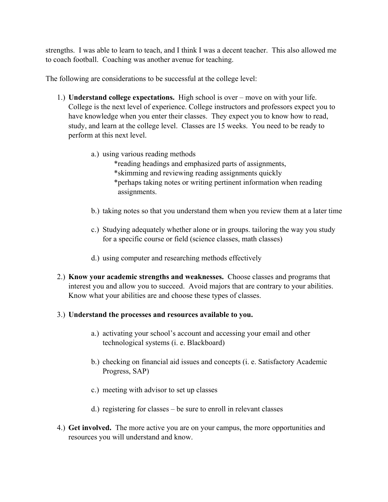strengths. I was able to learn to teach, and I think I was a decent teacher. This also allowed me to coach football. Coaching was another avenue for teaching.

The following are considerations to be successful at the college level:

- 1.) **Understand college expectations.** High school is over move on with your life. College is the next level of experience. College instructors and professors expect you to have knowledge when you enter their classes. They expect you to know how to read, study, and learn at the college level. Classes are 15 weeks. You need to be ready to perform at this next level.
	- a.) using various reading methods
		- \*reading headings and emphasized parts of assignments,
		- \*skimming and reviewing reading assignments quickly
		- \*perhaps taking notes or writing pertinent information when reading assignments.
	- b.) taking notes so that you understand them when you review them at a later time
	- c.) Studying adequately whether alone or in groups. tailoring the way you study for a specific course or field (science classes, math classes)
	- d.) using computer and researching methods effectively
- 2.) **Know your academic strengths and weaknesses.** Choose classes and programs that interest you and allow you to succeed. Avoid majors that are contrary to your abilities. Know what your abilities are and choose these types of classes.

## 3.) **Understand the processes and resources available to you.**

- a.) activating your school's account and accessing your email and other technological systems (i. e. Blackboard)
- b.) checking on financial aid issues and concepts (i. e. Satisfactory Academic Progress, SAP)
- c.) meeting with advisor to set up classes
- d.) registering for classes be sure to enroll in relevant classes
- 4.) **Get involved.** The more active you are on your campus, the more opportunities and resources you will understand and know.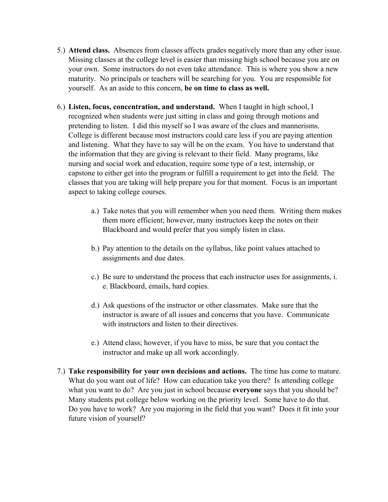- 5.) **Attend class.** Absences from classes affects grades negatively more than any other issue. Missing classes at the college level is easier than missing high school because you are on your own. Some instructors do not even take attendance. This is where you show a new maturity. No principals or teachers will be searching for you. You are responsible for yourself. As an aside to this concern, **be on time to class as well.**
- 6.) **Listen, focus, concentration, and understand.** When I taught in high school, I recognized when students were just sitting in class and going through motions and pretending to listen. I did this myself so I was aware of the clues and mannerisms. College is different because most instructors could care less if you are paying attention and listening. What they have to say will be on the exam. You have to understand that the information that they are giving is relevant to their field. Many programs, like nursing and social work and education, require some type of a test, internship, or capstone to either get into the program or fulfill a requirement to get into the field. The classes that you are taking will help prepare you for that moment. Focus is an important aspect to taking college courses.
	- a.) Take notes that you will remember when you need them. Writing them makes them more efficient; however, many instructors keep the notes on their Blackboard and would prefer that you simply listen in class.
	- b.) Pay attention to the details on the syllabus, like point values attached to assignments and due dates.
	- c.) Be sure to understand the process that each instructor uses for assignments, i. e. Blackboard, emails, hard copies.
	- d.) Ask questions of the instructor or other classmates. Make sure that the instructor is aware of all issues and concerns that you have. Communicate with instructors and listen to their directives.
	- e.) Attend class; however, if you have to miss, be sure that you contact the instructor and make up all work accordingly.
- 7.) **Take responsibility for your own decisions and actions.** The time has come to mature. What do you want out of life? How can education take you there? Is attending college what you want to do? Are you just in school because **everyone** says that you should be? Many students put college below working on the priority level. Some have to do that. Do you have to work? Are you majoring in the field that you want? Does it fit into your future vision of yourself?